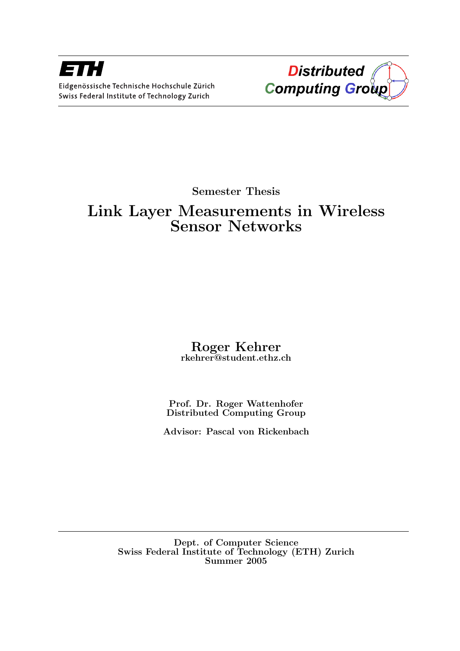

Semester Thesis

## Link Layer Measurements in Wireless Sensor Networks

## Roger Kehrer rkehrer@student.ethz.ch

Prof. Dr. Roger Wattenhofer Distributed Computing Group

Advisor: Pascal von Rickenbach

Dept. of Computer Science Swiss Federal Institute of Technology (ETH) Zurich Summer 2005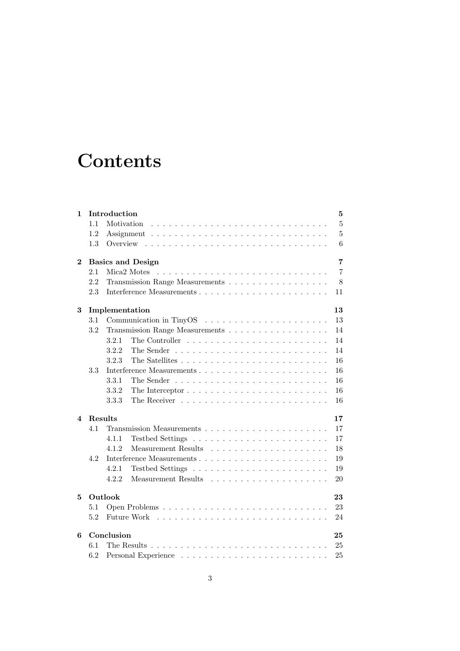# **Contents**

| 1        | Introduction         |                                      |                |  |  |  |  |  |  |  |  |  |
|----------|----------------------|--------------------------------------|----------------|--|--|--|--|--|--|--|--|--|
|          | 1.1                  | Motivation                           | $\overline{5}$ |  |  |  |  |  |  |  |  |  |
|          | 1.2                  |                                      | $\overline{5}$ |  |  |  |  |  |  |  |  |  |
|          | 1.3                  | Overview                             | 6              |  |  |  |  |  |  |  |  |  |
| $\bf{2}$ |                      | <b>Basics and Design</b><br>7        |                |  |  |  |  |  |  |  |  |  |
|          | 2.1                  | Mica <sub>2</sub> Motes<br>7         |                |  |  |  |  |  |  |  |  |  |
|          | 2.2                  | Transmission Range Measurements<br>8 |                |  |  |  |  |  |  |  |  |  |
|          | 2.3                  | 11                                   |                |  |  |  |  |  |  |  |  |  |
| 3        | Implementation<br>13 |                                      |                |  |  |  |  |  |  |  |  |  |
|          | 3.1                  |                                      | 13             |  |  |  |  |  |  |  |  |  |
|          | 3.2                  | Transmission Range Measurements      | 14             |  |  |  |  |  |  |  |  |  |
|          |                      | 3.2.1                                | 14             |  |  |  |  |  |  |  |  |  |
|          |                      | 3.2.2                                | 14             |  |  |  |  |  |  |  |  |  |
|          |                      | 3.2.3                                | 16             |  |  |  |  |  |  |  |  |  |
|          | 3.3                  |                                      | 16             |  |  |  |  |  |  |  |  |  |
|          |                      | 3.3.1                                | 16             |  |  |  |  |  |  |  |  |  |
|          |                      | 3.3.2                                | 16             |  |  |  |  |  |  |  |  |  |
|          |                      | 3.3.3                                | 16             |  |  |  |  |  |  |  |  |  |
| 4        |                      | <b>Results</b><br>17                 |                |  |  |  |  |  |  |  |  |  |
|          | 4.1                  |                                      | 17             |  |  |  |  |  |  |  |  |  |
|          |                      | 4.1.1                                | 17             |  |  |  |  |  |  |  |  |  |
|          |                      | 4.1.2<br>Measurement Results         | 18             |  |  |  |  |  |  |  |  |  |
|          | 4.2                  |                                      | 19             |  |  |  |  |  |  |  |  |  |
|          |                      | 4.2.1                                | 19             |  |  |  |  |  |  |  |  |  |
|          |                      | Measurement Results<br>4.2.2         | 20             |  |  |  |  |  |  |  |  |  |
| 5        |                      | Outlook                              |                |  |  |  |  |  |  |  |  |  |
|          | 5.1                  |                                      | 23             |  |  |  |  |  |  |  |  |  |
|          | 5.2                  | Future Work                          | 24             |  |  |  |  |  |  |  |  |  |
| 6        | Conclusion<br>25     |                                      |                |  |  |  |  |  |  |  |  |  |
|          | 6.1                  |                                      | 25             |  |  |  |  |  |  |  |  |  |
|          | 6.2                  |                                      | 25             |  |  |  |  |  |  |  |  |  |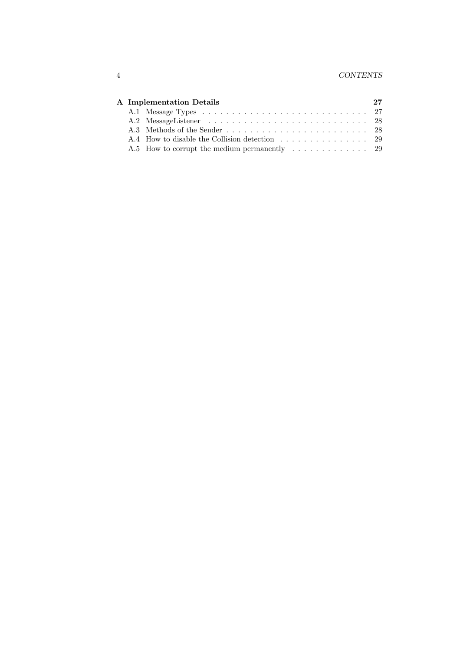|  | A Implementation Details |  |  |  |  |  |  |  |
|--|--------------------------|--|--|--|--|--|--|--|
|  |                          |  |  |  |  |  |  |  |
|  |                          |  |  |  |  |  |  |  |
|  |                          |  |  |  |  |  |  |  |
|  |                          |  |  |  |  |  |  |  |
|  |                          |  |  |  |  |  |  |  |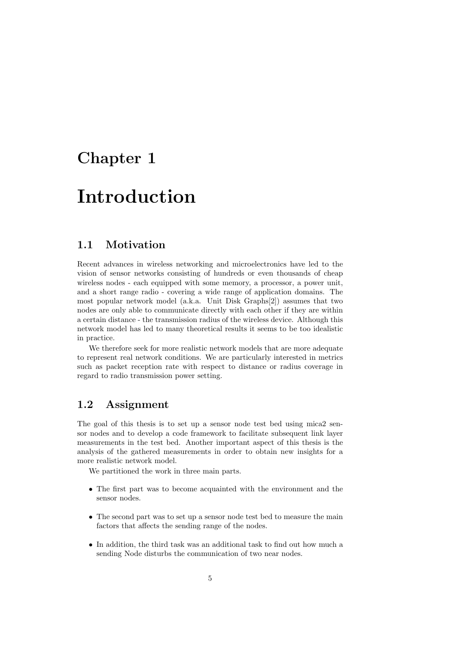# Introduction

### 1.1 Motivation

Recent advances in wireless networking and microelectronics have led to the vision of sensor networks consisting of hundreds or even thousands of cheap wireless nodes - each equipped with some memory, a processor, a power unit, and a short range radio - covering a wide range of application domains. The most popular network model (a.k.a. Unit Disk Graphs[2]) assumes that two nodes are only able to communicate directly with each other if they are within a certain distance - the transmission radius of the wireless device. Although this network model has led to many theoretical results it seems to be too idealistic in practice.

We therefore seek for more realistic network models that are more adequate to represent real network conditions. We are particularly interested in metrics such as packet reception rate with respect to distance or radius coverage in regard to radio transmission power setting.

### 1.2 Assignment

The goal of this thesis is to set up a sensor node test bed using mica2 sensor nodes and to develop a code framework to facilitate subsequent link layer measurements in the test bed. Another important aspect of this thesis is the analysis of the gathered measurements in order to obtain new insights for a more realistic network model.

We partitioned the work in three main parts.

- The first part was to become acquainted with the environment and the sensor nodes.
- The second part was to set up a sensor node test bed to measure the main factors that affects the sending range of the nodes.
- In addition, the third task was an additional task to find out how much a sending Node disturbs the communication of two near nodes.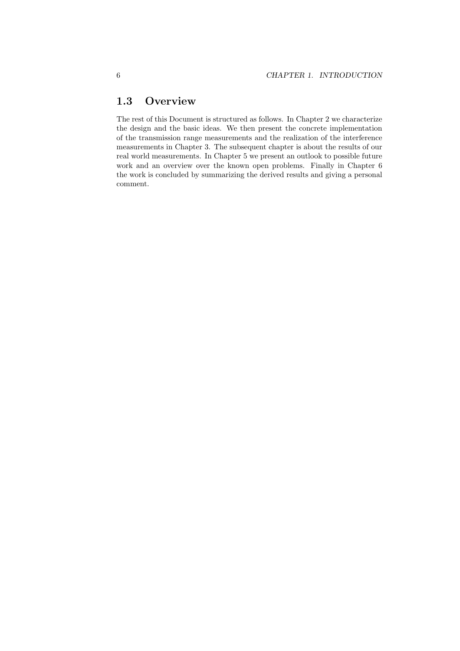### 1.3 Overview

The rest of this Document is structured as follows. In Chapter 2 we characterize the design and the basic ideas. We then present the concrete implementation of the transmission range measurements and the realization of the interference measurements in Chapter 3. The subsequent chapter is about the results of our real world measurements. In Chapter 5 we present an outlook to possible future work and an overview over the known open problems. Finally in Chapter 6 the work is concluded by summarizing the derived results and giving a personal comment.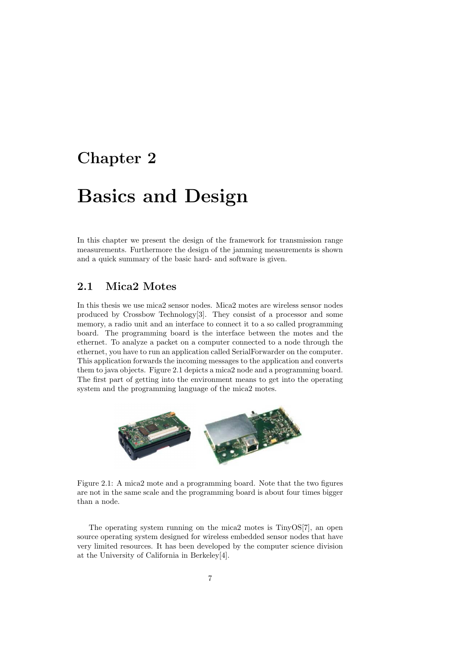## Basics and Design

In this chapter we present the design of the framework for transmission range measurements. Furthermore the design of the jamming measurements is shown and a quick summary of the basic hard- and software is given.

### 2.1 Mica2 Motes

In this thesis we use mica2 sensor nodes. Mica2 motes are wireless sensor nodes produced by Crossbow Technology[3]. They consist of a processor and some memory, a radio unit and an interface to connect it to a so called programming board. The programming board is the interface between the motes and the ethernet. To analyze a packet on a computer connected to a node through the ethernet, you have to run an application called SerialForwarder on the computer. This application forwards the incoming messages to the application and converts them to java objects. Figure 2.1 depicts a mica2 node and a programming board. The first part of getting into the environment means to get into the operating system and the programming language of the mica2 motes.



Figure 2.1: A mica2 mote and a programming board. Note that the two figures are not in the same scale and the programming board is about four times bigger than a node.

The operating system running on the mica2 motes is TinyOS[7], an open source operating system designed for wireless embedded sensor nodes that have very limited resources. It has been developed by the computer science division at the University of California in Berkeley[4].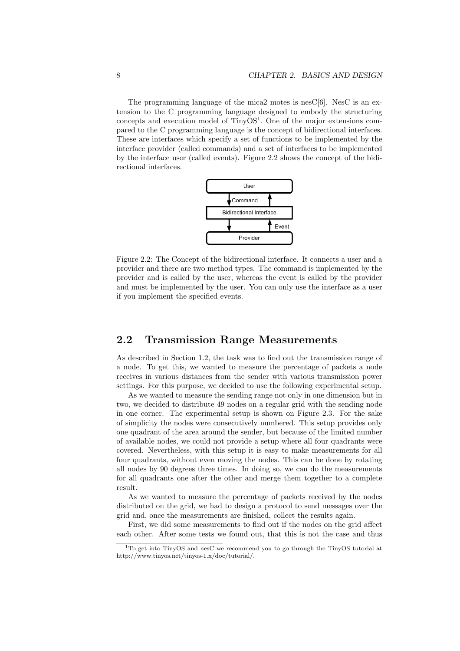The programming language of the mica2 motes is nesC[6]. NesC is an extension to the C programming language designed to embody the structuring concepts and execution model of  $T_{\text{iny}}OS^1$ . One of the major extensions compared to the C programming language is the concept of bidirectional interfaces. These are interfaces which specify a set of functions to be implemented by the interface provider (called commands) and a set of interfaces to be implemented by the interface user (called events). Figure 2.2 shows the concept of the bidirectional interfaces.



Figure 2.2: The Concept of the bidirectional interface. It connects a user and a provider and there are two method types. The command is implemented by the provider and is called by the user, whereas the event is called by the provider and must be implemented by the user. You can only use the interface as a user if you implement the specified events.

#### 2.2 Transmission Range Measurements

As described in Section 1.2, the task was to find out the transmission range of a node. To get this, we wanted to measure the percentage of packets a node receives in various distances from the sender with various transmission power settings. For this purpose, we decided to use the following experimental setup.

As we wanted to measure the sending range not only in one dimension but in two, we decided to distribute 49 nodes on a regular grid with the sending node in one corner. The experimental setup is shown on Figure 2.3. For the sake of simplicity the nodes were consecutively numbered. This setup provides only one quadrant of the area around the sender, but because of the limited number of available nodes, we could not provide a setup where all four quadrants were covered. Nevertheless, with this setup it is easy to make measurements for all four quadrants, without even moving the nodes. This can be done by rotating all nodes by 90 degrees three times. In doing so, we can do the measurements for all quadrants one after the other and merge them together to a complete result.

As we wanted to measure the percentage of packets received by the nodes distributed on the grid, we had to design a protocol to send messages over the grid and, once the measurements are finished, collect the results again.

First, we did some measurements to find out if the nodes on the grid affect each other. After some tests we found out, that this is not the case and thus

<sup>1</sup>To get into TinyOS and nesC we recommend you to go through the TinyOS tutorial at http://www.tinyos.net/tinyos-1.x/doc/tutorial/.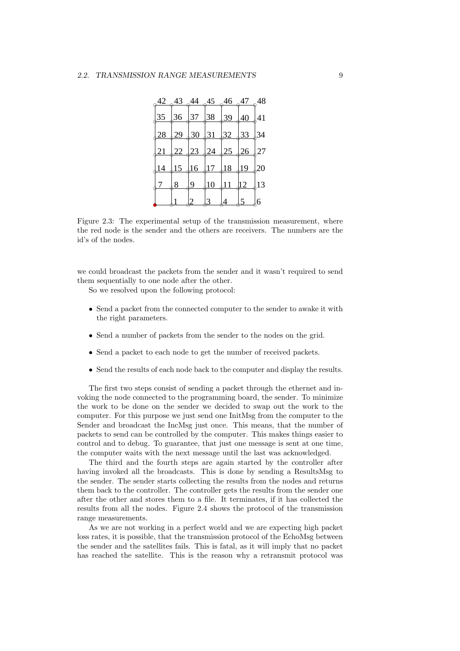|                 |                 |               |                |                 | $\frac{42}{9}$ $\frac{43}{9}$ $\frac{44}{9}$ $\frac{45}{9}$ $\frac{46}{9}$ $\frac{47}{9}$ | .48             |
|-----------------|-----------------|---------------|----------------|-----------------|-------------------------------------------------------------------------------------------|-----------------|
| $\downarrow$ 35 |                 |               | $36\,37\,38$   | 39 <sub>1</sub> | $-40$ 41                                                                                  |                 |
|                 | 29 <sub>1</sub> |               | 30 31          | $32\sqrt{33}$   |                                                                                           | $\downarrow$ 34 |
| $\overline{21}$ |                 | $22\sqrt{23}$ | $\frac{1}{24}$ | 25 <sub>4</sub> | $\frac{26}{ }$                                                                            | 27              |
| $\downarrow$ 14 | 15              | 16            | 17/18          |                 | $19\,20$                                                                                  |                 |
|                 | 8               | $9_{-}$       | 10             | $\overline{11}$ | $12 \pm 13$                                                                               |                 |
|                 |                 |               |                | 4               | 5                                                                                         | 6               |

Figure 2.3: The experimental setup of the transmission measurement, where the red node is the sender and the others are receivers. The numbers are the id's of the nodes.

we could broadcast the packets from the sender and it wasn't required to send them sequentially to one node after the other.

So we resolved upon the following protocol:

- Send a packet from the connected computer to the sender to awake it with the right parameters.
- Send a number of packets from the sender to the nodes on the grid.
- Send a packet to each node to get the number of received packets.
- Send the results of each node back to the computer and display the results.

The first two steps consist of sending a packet through the ethernet and invoking the node connected to the programming board, the sender. To minimize the work to be done on the sender we decided to swap out the work to the computer. For this purpose we just send one InitMsg from the computer to the Sender and broadcast the IncMsg just once. This means, that the number of packets to send can be controlled by the computer. This makes things easier to control and to debug. To guarantee, that just one message is sent at one time, the computer waits with the next message until the last was acknowledged.

The third and the fourth steps are again started by the controller after having invoked all the broadcasts. This is done by sending a ResultsMsg to the sender. The sender starts collecting the results from the nodes and returns them back to the controller. The controller gets the results from the sender one after the other and stores them to a file. It terminates, if it has collected the results from all the nodes. Figure 2.4 shows the protocol of the transmission range measurements.

As we are not working in a perfect world and we are expecting high packet loss rates, it is possible, that the transmission protocol of the EchoMsg between the sender and the satellites fails. This is fatal, as it will imply that no packet has reached the satellite. This is the reason why a retransmit protocol was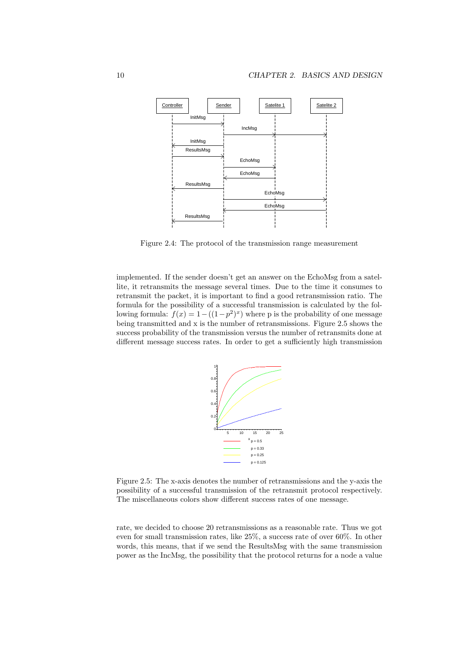

Figure 2.4: The protocol of the transmission range measurement

implemented. If the sender doesn't get an answer on the EchoMsg from a satellite, it retransmits the message several times. Due to the time it consumes to retransmit the packet, it is important to find a good retransmission ratio. The formula for the possibility of a successful transmission is calculated by the following formula:  $f(x) = 1 - ((1 - p^2)^x)$  where p is the probability of one message being transmitted and x is the number of retransmissions. Figure 2.5 shows the success probability of the transmission versus the number of retransmits done at different message success rates. In order to get a sufficiently high transmission



Figure 2.5: The x-axis denotes the number of retransmissions and the y-axis the possibility of a successful transmission of the retransmit protocol respectively. The miscellaneous colors show different success rates of one message.

rate, we decided to choose 20 retransmissions as a reasonable rate. Thus we got even for small transmission rates, like 25%, a success rate of over 60%. In other words, this means, that if we send the ResultsMsg with the same transmission power as the IncMsg, the possibility that the protocol returns for a node a value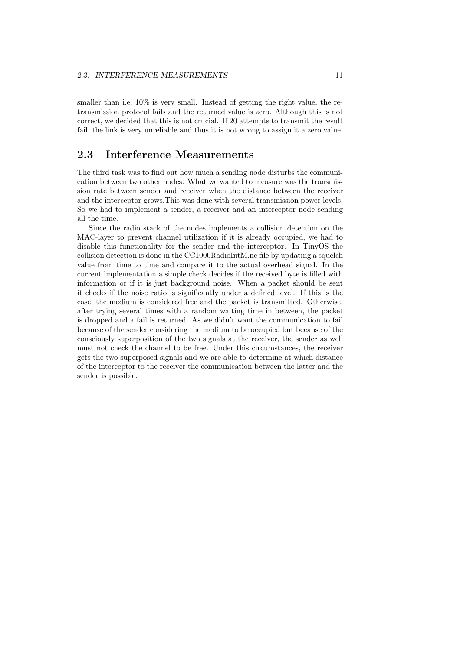smaller than i.e.  $10\%$  is very small. Instead of getting the right value, the retransmission protocol fails and the returned value is zero. Although this is not correct, we decided that this is not crucial. If 20 attempts to transmit the result fail, the link is very unreliable and thus it is not wrong to assign it a zero value.

#### 2.3 Interference Measurements

The third task was to find out how much a sending node disturbs the communication between two other nodes. What we wanted to measure was the transmission rate between sender and receiver when the distance between the receiver and the interceptor grows.This was done with several transmission power levels. So we had to implement a sender, a receiver and an interceptor node sending all the time.

Since the radio stack of the nodes implements a collision detection on the MAC-layer to prevent channel utilization if it is already occupied, we had to disable this functionality for the sender and the interceptor. In TinyOS the collision detection is done in the CC1000RadioIntM.nc file by updating a squelch value from time to time and compare it to the actual overhead signal. In the current implementation a simple check decides if the received byte is filled with information or if it is just background noise. When a packet should be sent it checks if the noise ratio is significantly under a defined level. If this is the case, the medium is considered free and the packet is transmitted. Otherwise, after trying several times with a random waiting time in between, the packet is dropped and a fail is returned. As we didn't want the communication to fail because of the sender considering the medium to be occupied but because of the consciously superposition of the two signals at the receiver, the sender as well must not check the channel to be free. Under this circumstances, the receiver gets the two superposed signals and we are able to determine at which distance of the interceptor to the receiver the communication between the latter and the sender is possible.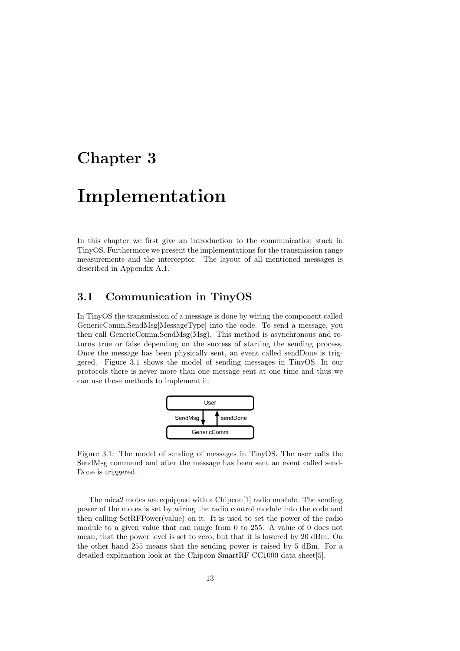## Implementation

In this chapter we first give an introduction to the communication stack in TinyOS. Furthermore we present the implementations for the transmission range measurements and the interceptor. The layout of all mentioned messages is described in Appendix A.1.

#### 3.1 Communication in TinyOS

In TinyOS the transmission of a message is done by wiring the component called GenericComm.SendMsg[MessageType] into the code. To send a message, you then call GenericComm.SendMsg(Msg). This method is asynchronous and returns true or false depending on the success of starting the sending process. Once the message has been physically sent, an event called sendDone is triggered. Figure 3.1 shows the model of sending messages in TinyOS. In our protocols there is never more than one message sent at one time and thus we can use these methods to implement it.



Figure 3.1: The model of sending of messages in TinyOS. The user calls the SendMsg command and after the message has been sent an event called send-Done is triggered.

The mica2 motes are equipped with a Chipcon[1] radio module. The sending power of the motes is set by wiring the radio control module into the code and then calling SetRFPower(value) on it. It is used to set the power of the radio module to a given value that can range from 0 to 255. A value of 0 does not mean, that the power level is set to zero, but that it is lowered by 20 dBm. On the other hand 255 means that the sending power is raised by 5 dBm. For a detailed explanation look at the Chipcon SmartRF CC1000 data sheet[5].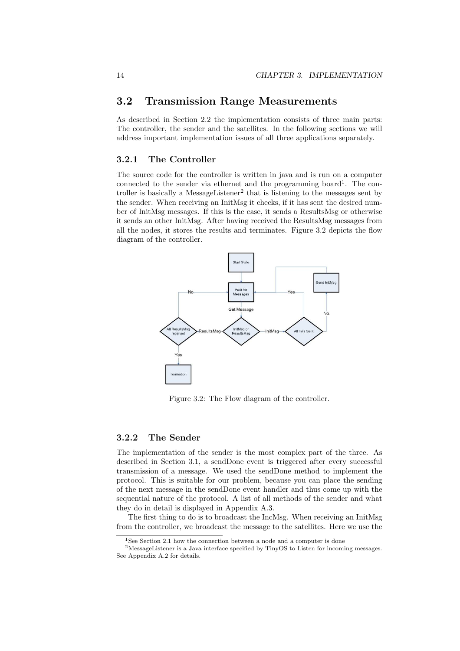### 3.2 Transmission Range Measurements

As described in Section 2.2 the implementation consists of three main parts: The controller, the sender and the satellites. In the following sections we will address important implementation issues of all three applications separately.

#### 3.2.1 The Controller

The source code for the controller is written in java and is run on a computer connected to the sender via ethernet and the programming board<sup>1</sup>. The controller is basically a MessageListener<sup>2</sup> that is listening to the messages sent by the sender. When receiving an InitMsg it checks, if it has sent the desired number of InitMsg messages. If this is the case, it sends a ResultsMsg or otherwise it sends an other InitMsg. After having received the ResultsMsg messages from all the nodes, it stores the results and terminates. Figure 3.2 depicts the flow diagram of the controller.



Figure 3.2: The Flow diagram of the controller.

#### 3.2.2 The Sender

The implementation of the sender is the most complex part of the three. As described in Section 3.1, a sendDone event is triggered after every successful transmission of a message. We used the sendDone method to implement the protocol. This is suitable for our problem, because you can place the sending of the next message in the sendDone event handler and thus come up with the sequential nature of the protocol. A list of all methods of the sender and what they do in detail is displayed in Appendix A.3.

The first thing to do is to broadcast the IncMsg. When receiving an InitMsg from the controller, we broadcast the message to the satellites. Here we use the

<sup>&</sup>lt;sup>1</sup>See Section 2.1 how the connection between a node and a computer is done

<sup>2</sup>MessageListener is a Java interface specified by TinyOS to Listen for incoming messages. See Appendix A.2 for details.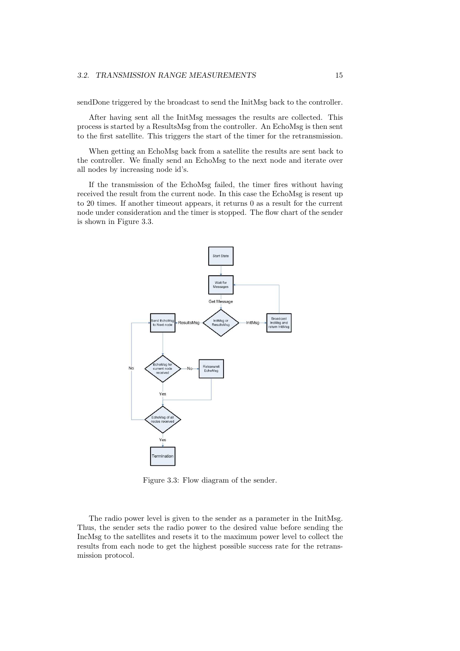sendDone triggered by the broadcast to send the InitMsg back to the controller.

After having sent all the InitMsg messages the results are collected. This process is started by a ResultsMsg from the controller. An EchoMsg is then sent to the first satellite. This triggers the start of the timer for the retransmission.

When getting an EchoMsg back from a satellite the results are sent back to the controller. We finally send an EchoMsg to the next node and iterate over all nodes by increasing node id's.

If the transmission of the EchoMsg failed, the timer fires without having received the result from the current node. In this case the EchoMsg is resent up to 20 times. If another timeout appears, it returns 0 as a result for the current node under consideration and the timer is stopped. The flow chart of the sender is shown in Figure 3.3.



Figure 3.3: Flow diagram of the sender.

The radio power level is given to the sender as a parameter in the InitMsg. Thus, the sender sets the radio power to the desired value before sending the IncMsg to the satellites and resets it to the maximum power level to collect the results from each node to get the highest possible success rate for the retransmission protocol.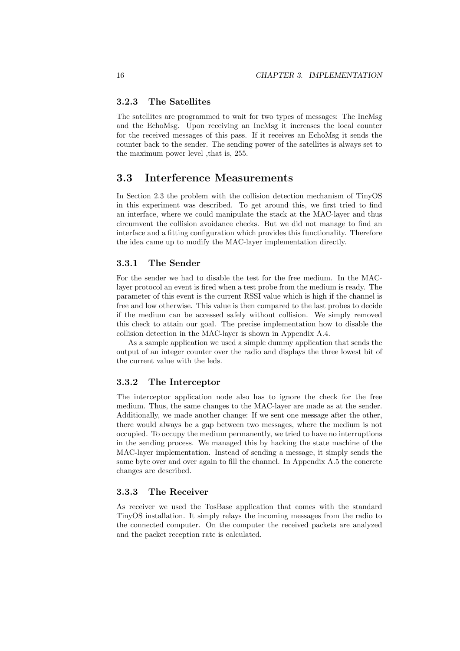#### 3.2.3 The Satellites

The satellites are programmed to wait for two types of messages: The IncMsg and the EchoMsg. Upon receiving an IncMsg it increases the local counter for the received messages of this pass. If it receives an EchoMsg it sends the counter back to the sender. The sending power of the satellites is always set to the maximum power level ,that is, 255.

#### 3.3 Interference Measurements

In Section 2.3 the problem with the collision detection mechanism of TinyOS in this experiment was described. To get around this, we first tried to find an interface, where we could manipulate the stack at the MAC-layer and thus circumvent the collision avoidance checks. But we did not manage to find an interface and a fitting configuration which provides this functionality. Therefore the idea came up to modify the MAC-layer implementation directly.

#### 3.3.1 The Sender

For the sender we had to disable the test for the free medium. In the MAClayer protocol an event is fired when a test probe from the medium is ready. The parameter of this event is the current RSSI value which is high if the channel is free and low otherwise. This value is then compared to the last probes to decide if the medium can be accessed safely without collision. We simply removed this check to attain our goal. The precise implementation how to disable the collision detection in the MAC-layer is shown in Appendix A.4.

As a sample application we used a simple dummy application that sends the output of an integer counter over the radio and displays the three lowest bit of the current value with the leds.

#### 3.3.2 The Interceptor

The interceptor application node also has to ignore the check for the free medium. Thus, the same changes to the MAC-layer are made as at the sender. Additionally, we made another change: If we sent one message after the other, there would always be a gap between two messages, where the medium is not occupied. To occupy the medium permanently, we tried to have no interruptions in the sending process. We managed this by hacking the state machine of the MAC-layer implementation. Instead of sending a message, it simply sends the same byte over and over again to fill the channel. In Appendix A.5 the concrete changes are described.

#### 3.3.3 The Receiver

As receiver we used the TosBase application that comes with the standard TinyOS installation. It simply relays the incoming messages from the radio to the connected computer. On the computer the received packets are analyzed and the packet reception rate is calculated.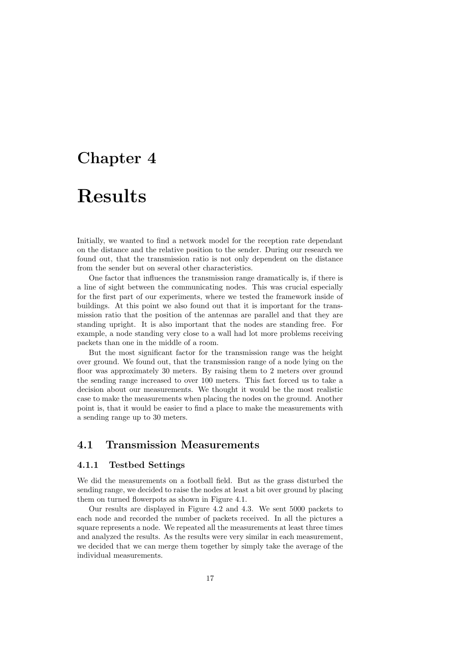# Results

Initially, we wanted to find a network model for the reception rate dependant on the distance and the relative position to the sender. During our research we found out, that the transmission ratio is not only dependent on the distance from the sender but on several other characteristics.

One factor that influences the transmission range dramatically is, if there is a line of sight between the communicating nodes. This was crucial especially for the first part of our experiments, where we tested the framework inside of buildings. At this point we also found out that it is important for the transmission ratio that the position of the antennas are parallel and that they are standing upright. It is also important that the nodes are standing free. For example, a node standing very close to a wall had lot more problems receiving packets than one in the middle of a room.

But the most significant factor for the transmission range was the height over ground. We found out, that the transmission range of a node lying on the floor was approximately 30 meters. By raising them to 2 meters over ground the sending range increased to over 100 meters. This fact forced us to take a decision about our measurements. We thought it would be the most realistic case to make the measurements when placing the nodes on the ground. Another point is, that it would be easier to find a place to make the measurements with a sending range up to 30 meters.

### 4.1 Transmission Measurements

#### 4.1.1 Testbed Settings

We did the measurements on a football field. But as the grass disturbed the sending range, we decided to raise the nodes at least a bit over ground by placing them on turned flowerpots as shown in Figure 4.1.

Our results are displayed in Figure 4.2 and 4.3. We sent 5000 packets to each node and recorded the number of packets received. In all the pictures a square represents a node. We repeated all the measurements at least three times and analyzed the results. As the results were very similar in each measurement, we decided that we can merge them together by simply take the average of the individual measurements.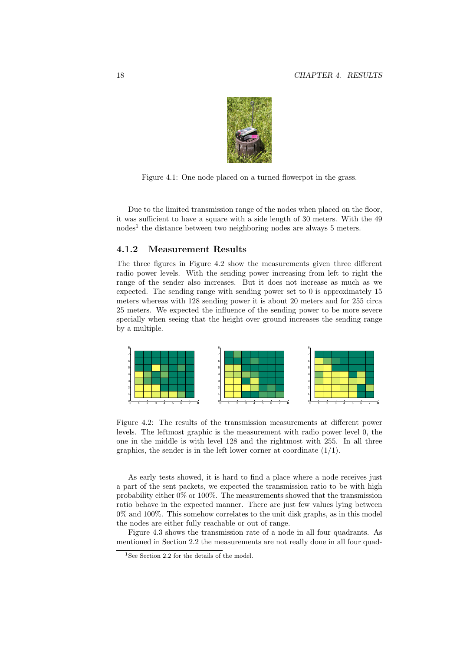

Figure 4.1: One node placed on a turned flowerpot in the grass.

Due to the limited transmission range of the nodes when placed on the floor, it was sufficient to have a square with a side length of 30 meters. With the 49 nodes<sup>1</sup> the distance between two neighboring nodes are always 5 meters.

#### 4.1.2 Measurement Results

The three figures in Figure 4.2 show the measurements given three different radio power levels. With the sending power increasing from left to right the range of the sender also increases. But it does not increase as much as we expected. The sending range with sending power set to 0 is approximately 15 meters whereas with 128 sending power it is about 20 meters and for 255 circa 25 meters. We expected the influence of the sending power to be more severe specially when seeing that the height over ground increases the sending range by a multiple.



Figure 4.2: The results of the transmission measurements at different power levels. The leftmost graphic is the measurement with radio power level 0, the one in the middle is with level 128 and the rightmost with 255. In all three graphics, the sender is in the left lower corner at coordinate  $(1/1)$ .

As early tests showed, it is hard to find a place where a node receives just a part of the sent packets, we expected the transmission ratio to be with high probability either 0% or 100%. The measurements showed that the transmission ratio behave in the expected manner. There are just few values lying between 0% and 100%. This somehow correlates to the unit disk graphs, as in this model the nodes are either fully reachable or out of range.

Figure 4.3 shows the transmission rate of a node in all four quadrants. As mentioned in Section 2.2 the measurements are not really done in all four quad-

<sup>&</sup>lt;sup>1</sup>See Section 2.2 for the details of the model.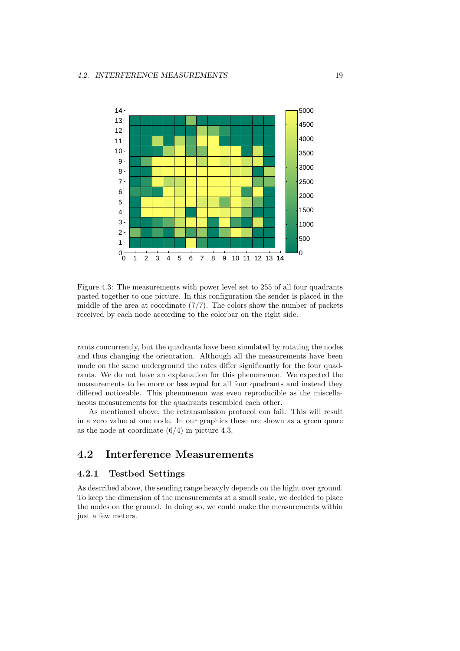

Figure 4.3: The measurements with power level set to 255 of all four quadrants pasted together to one picture. In this configuration the sender is placed in the middle of the area at coordinate  $(7/7)$ . The colors show the number of packets received by each node according to the colorbar on the right side.

rants concurrently, but the quadrants have been simulated by rotating the nodes and thus changing the orientation. Although all the measurements have been made on the same underground the rates differ significantly for the four quadrants. We do not have an explanation for this phenomenon. We expected the measurements to be more or less equal for all four quadrants and instead they differed noticeable. This phenomenon was even reproducible as the miscellaneous measurements for the quadrants resembled each other.

As mentioned above, the retransmission protocol can fail. This will result in a zero value at one node. In our graphics these are shown as a green quare as the node at coordinate  $(6/4)$  in picture 4.3.

#### 4.2 Interference Measurements

#### 4.2.1 Testbed Settings

As described above, the sending range heavyly depends on the hight over ground. To keep the dimension of the measurements at a small scale, we decided to place the nodes on the ground. In doing so, we could make the measurements within just a few meters.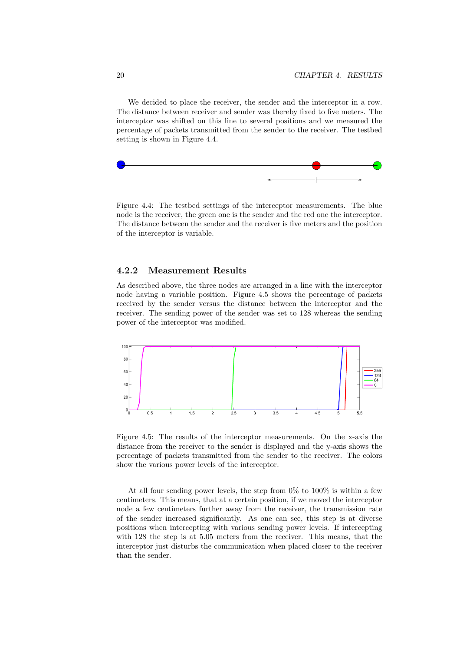We decided to place the receiver, the sender and the interceptor in a row. The distance between receiver and sender was thereby fixed to five meters. The interceptor was shifted on this line to several positions and we measured the percentage of packets transmitted from the sender to the receiver. The testbed setting is shown in Figure 4.4.



Figure 4.4: The testbed settings of the interceptor measurements. The blue node is the receiver, the green one is the sender and the red one the interceptor. The distance between the sender and the receiver is five meters and the position of the interceptor is variable.

#### 4.2.2 Measurement Results

As described above, the three nodes are arranged in a line with the interceptor node having a variable position. Figure 4.5 shows the percentage of packets received by the sender versus the distance between the interceptor and the receiver. The sending power of the sender was set to 128 whereas the sending power of the interceptor was modified.



Figure 4.5: The results of the interceptor measurements. On the x-axis the distance from the receiver to the sender is displayed and the y-axis shows the percentage of packets transmitted from the sender to the receiver. The colors show the various power levels of the interceptor.

At all four sending power levels, the step from 0% to 100% is within a few centimeters. This means, that at a certain position, if we moved the interceptor node a few centimeters further away from the receiver, the transmission rate of the sender increased significantly. As one can see, this step is at diverse positions when intercepting with various sending power levels. If intercepting with 128 the step is at 5.05 meters from the receiver. This means, that the interceptor just disturbs the communication when placed closer to the receiver than the sender.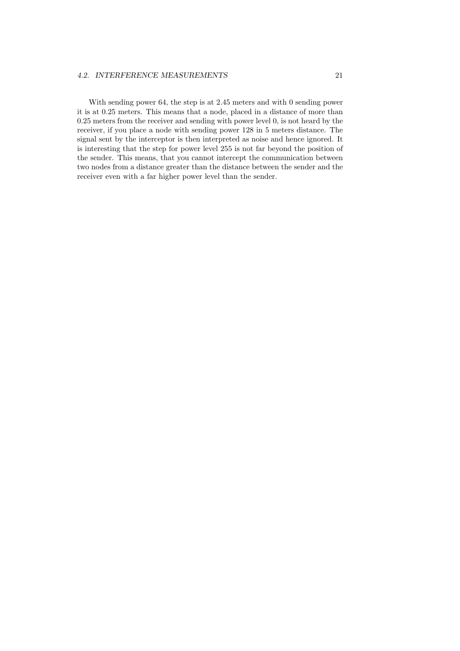#### 4.2. INTERFERENCE MEASUREMENTS 21

With sending power 64, the step is at 2.45 meters and with 0 sending power it is at 0.25 meters. This means that a node, placed in a distance of more than 0.25 meters from the receiver and sending with power level 0, is not heard by the receiver, if you place a node with sending power 128 in 5 meters distance. The signal sent by the interceptor is then interpreted as noise and hence ignored. It is interesting that the step for power level 255 is not far beyond the position of the sender. This means, that you cannot intercept the communication between two nodes from a distance greater than the distance between the sender and the receiver even with a far higher power level than the sender.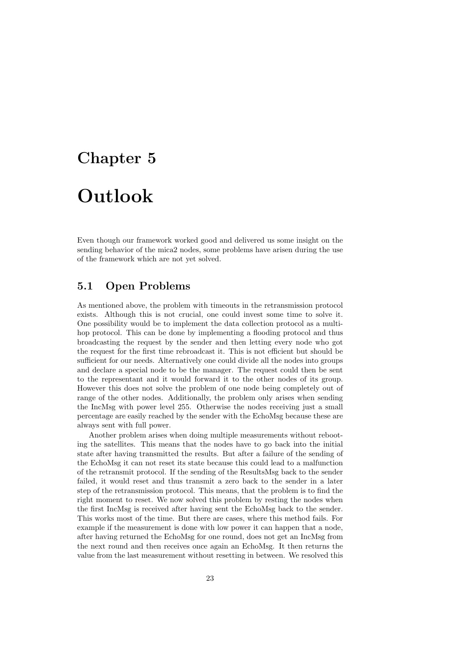# Outlook

Even though our framework worked good and delivered us some insight on the sending behavior of the mica2 nodes, some problems have arisen during the use of the framework which are not yet solved.

### 5.1 Open Problems

As mentioned above, the problem with timeouts in the retransmission protocol exists. Although this is not crucial, one could invest some time to solve it. One possibility would be to implement the data collection protocol as a multihop protocol. This can be done by implementing a flooding protocol and thus broadcasting the request by the sender and then letting every node who got the request for the first time rebroadcast it. This is not efficient but should be sufficient for our needs. Alternatively one could divide all the nodes into groups and declare a special node to be the manager. The request could then be sent to the representant and it would forward it to the other nodes of its group. However this does not solve the problem of one node being completely out of range of the other nodes. Additionally, the problem only arises when sending the IncMsg with power level 255. Otherwise the nodes receiving just a small percentage are easily reached by the sender with the EchoMsg because these are always sent with full power.

Another problem arises when doing multiple measurements without rebooting the satellites. This means that the nodes have to go back into the initial state after having transmitted the results. But after a failure of the sending of the EchoMsg it can not reset its state because this could lead to a malfunction of the retransmit protocol. If the sending of the ResultsMsg back to the sender failed, it would reset and thus transmit a zero back to the sender in a later step of the retransmission protocol. This means, that the problem is to find the right moment to reset. We now solved this problem by resting the nodes when the first IncMsg is received after having sent the EchoMsg back to the sender. This works most of the time. But there are cases, where this method fails. For example if the measurement is done with low power it can happen that a node, after having returned the EchoMsg for one round, does not get an IncMsg from the next round and then receives once again an EchoMsg. It then returns the value from the last measurement without resetting in between. We resolved this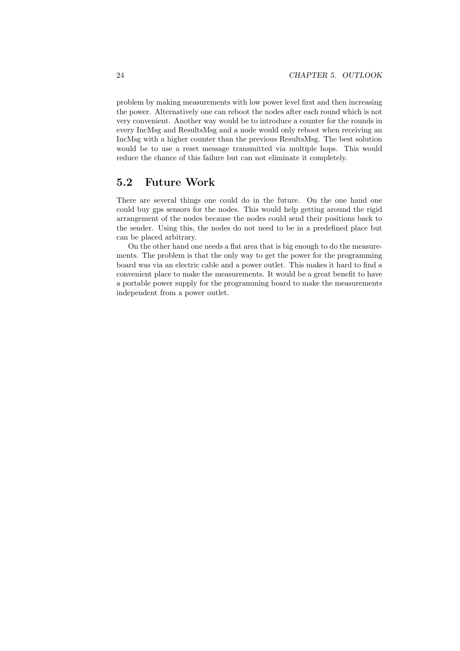problem by making measurements with low power level first and then increasing the power. Alternatively one can reboot the nodes after each round which is not very convenient. Another way would be to introduce a counter for the rounds in every IncMsg and ResultsMsg and a node would only reboot when receiving an IncMsg with a higher counter than the previous ResultsMsg. The best solution would be to use a reset message transmitted via multiple hops. This would reduce the chance of this failure but can not eliminate it completely.

### 5.2 Future Work

There are several things one could do in the future. On the one hand one could buy gps sensors for the nodes. This would help getting around the rigid arrangement of the nodes because the nodes could send their positions back to the sender. Using this, the nodes do not need to be in a predefined place but can be placed arbitrary.

On the other hand one needs a flat area that is big enough to do the measurements. The problem is that the only way to get the power for the programming board was via an electric cable and a power outlet. This makes it hard to find a convenient place to make the measurements. It would be a great benefit to have a portable power supply for the programming board to make the measurements independent from a power outlet.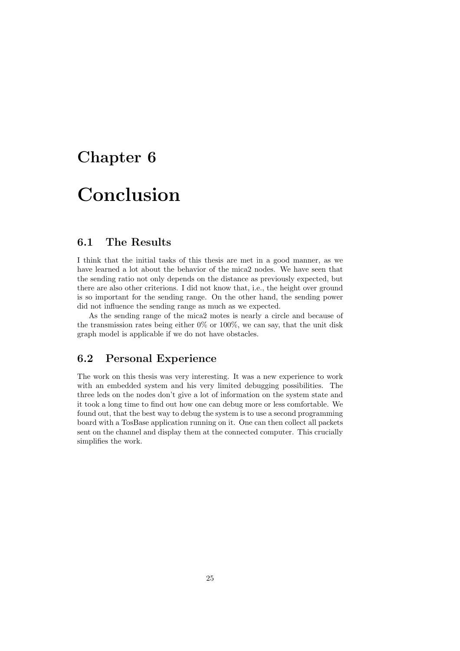# Conclusion

### 6.1 The Results

I think that the initial tasks of this thesis are met in a good manner, as we have learned a lot about the behavior of the mica2 nodes. We have seen that the sending ratio not only depends on the distance as previously expected, but there are also other criterions. I did not know that, i.e., the height over ground is so important for the sending range. On the other hand, the sending power did not influence the sending range as much as we expected.

As the sending range of the mica2 motes is nearly a circle and because of the transmission rates being either  $0\%$  or  $100\%$ , we can say, that the unit disk graph model is applicable if we do not have obstacles.

### 6.2 Personal Experience

The work on this thesis was very interesting. It was a new experience to work with an embedded system and his very limited debugging possibilities. The three leds on the nodes don't give a lot of information on the system state and it took a long time to find out how one can debug more or less comfortable. We found out, that the best way to debug the system is to use a second programming board with a TosBase application running on it. One can then collect all packets sent on the channel and display them at the connected computer. This crucially simplifies the work.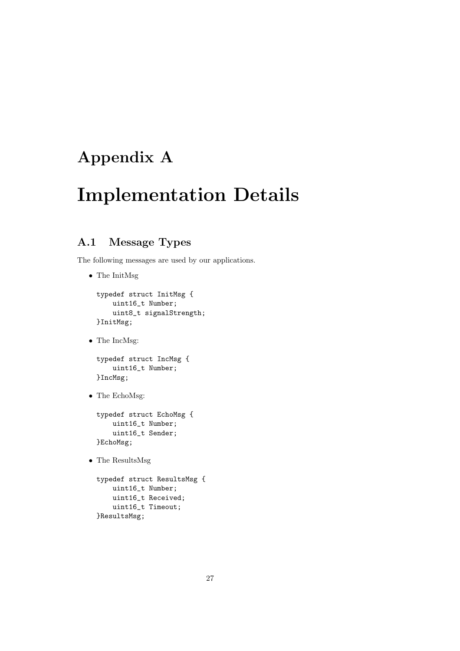## Appendix A

# Implementation Details

### A.1 Message Types

The following messages are used by our applications.

• The InitMsg

```
typedef struct InitMsg {
   uint16_t Number;
   uint8_t signalStrength;
}InitMsg;
```
• The IncMsg:

```
typedef struct IncMsg {
   uint16_t Number;
}IncMsg;
```
• The EchoMsg:

```
typedef struct EchoMsg {
   uint16_t Number;
   uint16_t Sender;
}EchoMsg;
```
• The ResultsMsg

```
typedef struct ResultsMsg {
   uint16_t Number;
   uint16_t Received;
   uint16_t Timeout;
}ResultsMsg;
```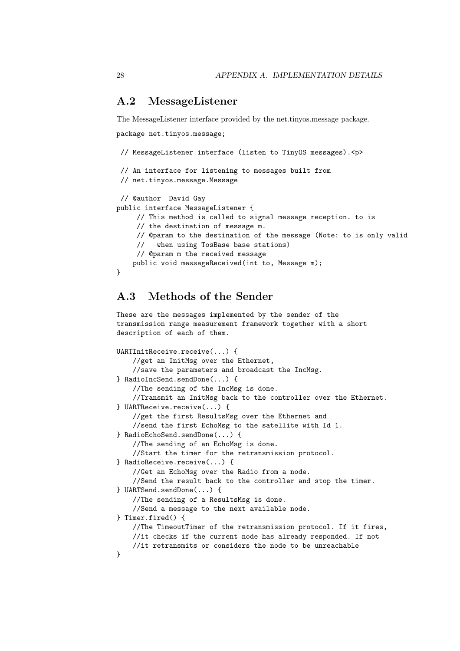#### A.2 MessageListener

The MessageListener interface provided by the net.tinyos.message package.

package net.tinyos.message;

```
// MessageListener interface (listen to TinyOS messages).<p>
// An interface for listening to messages built from
// net.tinyos.message.Message
// @author David Gay
public interface MessageListener {
     // This method is called to signal message reception. to is
     // the destination of message m.
     // @param to the destination of the message (Note: to is only valid
     // when using TosBase base stations)
     // @param m the received message
   public void messageReceived(int to, Message m);
}
```
### A.3 Methods of the Sender

These are the messages implemented by the sender of the transmission range measurement framework together with a short description of each of them.

```
UARTInitReceive.receive(...) {
    //get an InitMsg over the Ethernet,
    //save the parameters and broadcast the IncMsg.
} RadioIncSend.sendDone(...) {
    //The sending of the IncMsg is done.
    //Transmit an InitMsg back to the controller over the Ethernet.
} UARTReceive.receive(...) {
    //get the first ResultsMsg over the Ethernet and
    //send the first EchoMsg to the satellite with Id 1.
} RadioEchoSend.sendDone(...) {
    //The sending of an EchoMsg is done.
    //Start the timer for the retransmission protocol.
} RadioReceive.receive(...) {
    //Get an EchoMsg over the Radio from a node.
    //Send the result back to the controller and stop the timer.
} UARTSend.sendDone(...) {
    //The sending of a ResultsMsg is done.
    //Send a message to the next available node.
} Timer.fired() {
   //The TimeoutTimer of the retransmission protocol. If it fires,
    //it checks if the current node has already responded. If not
    //it retransmits or considers the node to be unreachable
}
```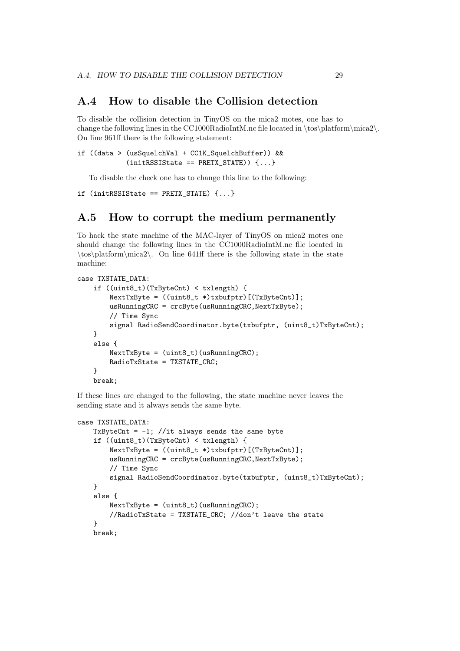#### A.4 How to disable the Collision detection

To disable the collision detection in TinyOS on the mica2 motes, one has to change the following lines in the CC1000RadioIntM.nc file located in \tos\platform\mica2\. On line 961ff there is the following statement:

```
if ((data > (usSquelchVal + CC1K_SquelchBuffer)) &&
            (initRSSIState == PRETX_STATE)) {...}
```
To disable the check one has to change this line to the following:

```
if (initRSSIState == PRETX_STATE) {...}
```
#### A.5 How to corrupt the medium permanently

To hack the state machine of the MAC-layer of TinyOS on mica2 motes one should change the following lines in the CC1000RadioIntM.nc file located in \tos\platform\mica2\. On line 641ff there is the following state in the state machine:

```
case TXSTATE_DATA:
    if ((uint8_t)(TxByteCnt) < txlength) {
        NextTxByte = ((uint8_t *)txbufptr)[(TxByteCnt)];
        usRunningCRC = crcByte(usRunningCRC,NextTxByte);
        // Time Sync
        signal RadioSendCoordinator.byte(txbufptr, (uint8_t)TxByteCnt);
    }
    else {
        NextTxByte = (uint8_t)(usRunningCRC);
        RadioTxState = TXSTATE_CRC;
    }
   break;
```
If these lines are changed to the following, the state machine never leaves the sending state and it always sends the same byte.

```
case TXSTATE_DATA:
    TxByteCnt = -1; //it always sends the same byte
    if ((uint8_t)(TxByteCnt) < txlength) {
        NextTxByte = ((uint8_t *)txbufptr)[(TxByteCnt)];
        usRunningCRC = crcByte(usRunningCRC,NextTxByte);
        // Time Sync
        signal RadioSendCoordinator.byte(txbufptr, (uint8_t)TxByteCnt);
    }
    else {
        NextTxByte = (uint8_t)(usRunningCRC);//RadioTxState = TXSTATE_CRC; //don't leave the state
    }
    break;
```